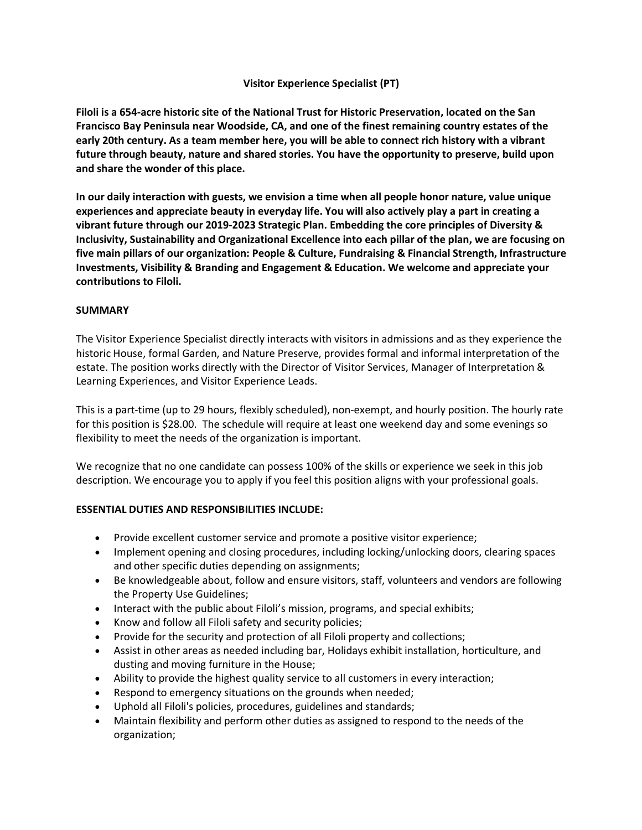## **Visitor Experience Specialist (PT)**

**Filoli is a 654-acre historic site of the National Trust for Historic Preservation, located on the San Francisco Bay Peninsula near Woodside, CA, and one of the finest remaining country estates of the early 20th century. As a team member here, you will be able to connect rich history with a vibrant future through beauty, nature and shared stories. You have the opportunity to preserve, build upon and share the wonder of this place.**

**In our daily interaction with guests, we envision a time when all people honor nature, value unique experiences and appreciate beauty in everyday life. You will also actively play a part in creating a vibrant future through our 2019-2023 Strategic Plan. Embedding the core principles of Diversity & Inclusivity, Sustainability and Organizational Excellence into each pillar of the plan, we are focusing on five main pillars of our organization: People & Culture, Fundraising & Financial Strength, Infrastructure Investments, Visibility & Branding and Engagement & Education. We welcome and appreciate your contributions to Filoli.**

## **SUMMARY**

The Visitor Experience Specialist directly interacts with visitors in admissions and as they experience the historic House, formal Garden, and Nature Preserve, provides formal and informal interpretation of the estate. The position works directly with the Director of Visitor Services, Manager of Interpretation & Learning Experiences, and Visitor Experience Leads.

This is a part-time (up to 29 hours, flexibly scheduled), non-exempt, and hourly position. The hourly rate for this position is \$28.00. The schedule will require at least one weekend day and some evenings so flexibility to meet the needs of the organization is important.

We recognize that no one candidate can possess 100% of the skills or experience we seek in this job description. We encourage you to apply if you feel this position aligns with your professional goals.

# **ESSENTIAL DUTIES AND RESPONSIBILITIES INCLUDE:**

- Provide excellent customer service and promote a positive visitor experience;
- Implement opening and closing procedures, including locking/unlocking doors, clearing spaces and other specific duties depending on assignments;
- Be knowledgeable about, follow and ensure visitors, staff, volunteers and vendors are following the Property Use Guidelines;
- Interact with the public about Filoli's mission, programs, and special exhibits;
- Know and follow all Filoli safety and security policies;
- Provide for the security and protection of all Filoli property and collections;
- Assist in other areas as needed including bar, Holidays exhibit installation, horticulture, and dusting and moving furniture in the House;
- Ability to provide the highest quality service to all customers in every interaction;
- Respond to emergency situations on the grounds when needed;
- Uphold all Filoli's policies, procedures, guidelines and standards;
- Maintain flexibility and perform other duties as assigned to respond to the needs of the organization;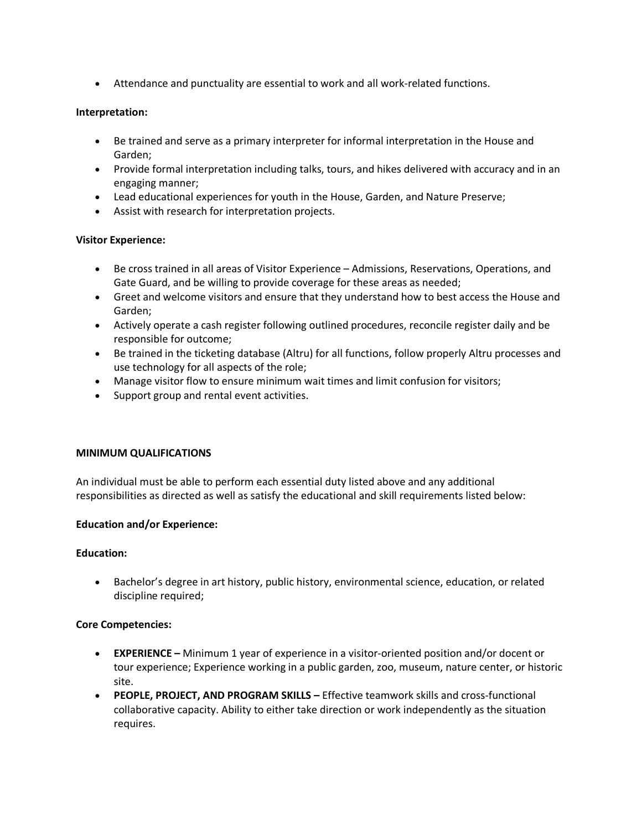• Attendance and punctuality are essential to work and all work-related functions.

## **Interpretation:**

- Be trained and serve as a primary interpreter for informal interpretation in the House and Garden;
- Provide formal interpretation including talks, tours, and hikes delivered with accuracy and in an engaging manner;
- Lead educational experiences for youth in the House, Garden, and Nature Preserve;
- Assist with research for interpretation projects.

## **Visitor Experience:**

- Be cross trained in all areas of Visitor Experience Admissions, Reservations, Operations, and Gate Guard, and be willing to provide coverage for these areas as needed;
- Greet and welcome visitors and ensure that they understand how to best access the House and Garden;
- Actively operate a cash register following outlined procedures, reconcile register daily and be responsible for outcome;
- Be trained in the ticketing database (Altru) for all functions, follow properly Altru processes and use technology for all aspects of the role;
- Manage visitor flow to ensure minimum wait times and limit confusion for visitors;
- Support group and rental event activities.

## **MINIMUM QUALIFICATIONS**

An individual must be able to perform each essential duty listed above and any additional responsibilities as directed as well as satisfy the educational and skill requirements listed below:

## **Education and/or Experience:**

#### **Education:**

• Bachelor's degree in art history, public history, environmental science, education, or related discipline required;

## **Core Competencies:**

- **EXPERIENCE –** Minimum 1 year of experience in a visitor-oriented position and/or docent or tour experience; Experience working in a public garden, zoo, museum, nature center, or historic site.
- **PEOPLE, PROJECT, AND PROGRAM SKILLS –** Effective teamwork skills and cross-functional collaborative capacity. Ability to either take direction or work independently as the situation requires.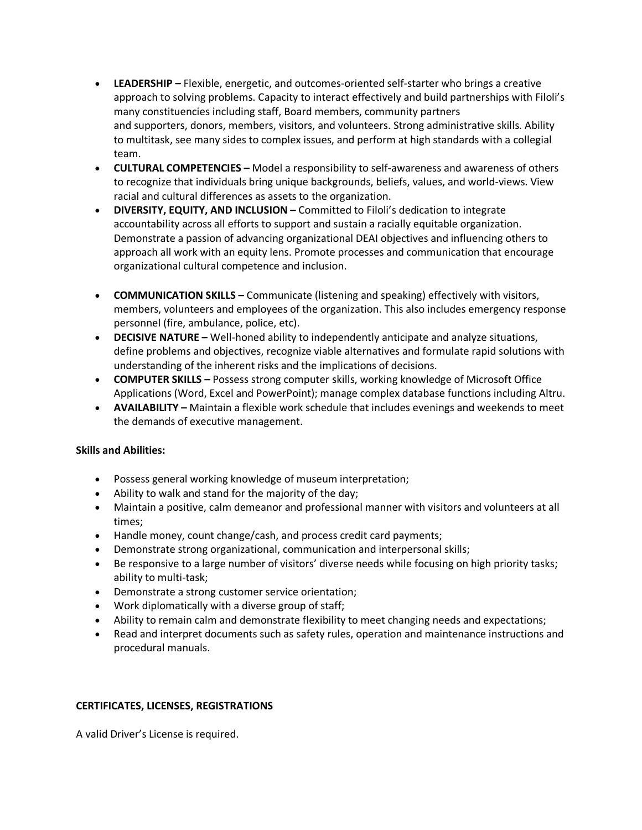- **LEADERSHIP –** Flexible, energetic, and outcomes-oriented self-starter who brings a creative approach to solving problems. Capacity to interact effectively and build partnerships with Filoli's many constituencies including staff, Board members, community partners and supporters, donors, members, visitors, and volunteers. Strong administrative skills. Ability to multitask, see many sides to complex issues, and perform at high standards with a collegial team.
- **CULTURAL COMPETENCIES –** Model a responsibility to self-awareness and awareness of others to recognize that individuals bring unique backgrounds, beliefs, values, and world-views. View racial and cultural differences as assets to the organization.
- **DIVERSITY, EQUITY, AND INCLUSION –** Committed to Filoli's dedication to integrate accountability across all efforts to support and sustain a racially equitable organization. Demonstrate a passion of advancing organizational DEAI objectives and influencing others to approach all work with an equity lens. Promote processes and communication that encourage organizational cultural competence and inclusion.
- **COMMUNICATION SKILLS –** Communicate (listening and speaking) effectively with visitors, members, volunteers and employees of the organization. This also includes emergency response personnel (fire, ambulance, police, etc).
- **DECISIVE NATURE –** Well-honed ability to independently anticipate and analyze situations, define problems and objectives, recognize viable alternatives and formulate rapid solutions with understanding of the inherent risks and the implications of decisions.
- **COMPUTER SKILLS –** Possess strong computer skills, working knowledge of Microsoft Office Applications (Word, Excel and PowerPoint); manage complex database functions including Altru.
- **AVAILABILITY –** Maintain a flexible work schedule that includes evenings and weekends to meet the demands of executive management.

# **Skills and Abilities:**

- Possess general working knowledge of museum interpretation;
- Ability to walk and stand for the majority of the day;
- Maintain a positive, calm demeanor and professional manner with visitors and volunteers at all times;
- Handle money, count change/cash, and process credit card payments;
- Demonstrate strong organizational, communication and interpersonal skills;
- Be responsive to a large number of visitors' diverse needs while focusing on high priority tasks; ability to multi-task;
- Demonstrate a strong customer service orientation;
- Work diplomatically with a diverse group of staff;
- Ability to remain calm and demonstrate flexibility to meet changing needs and expectations;
- Read and interpret documents such as safety rules, operation and maintenance instructions and procedural manuals.

## **CERTIFICATES, LICENSES, REGISTRATIONS**

A valid Driver's License is required.